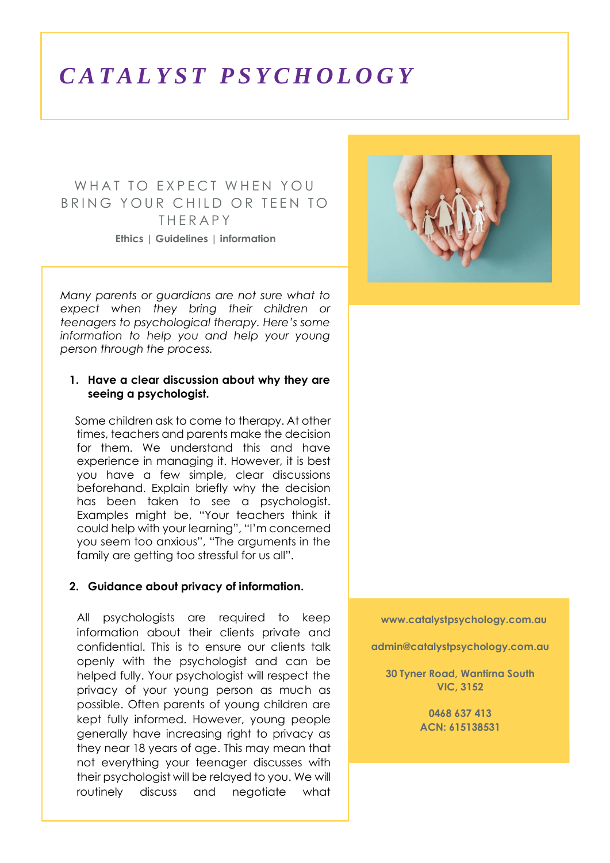# *C A T A L Y S T P S Y C H O L O G Y*

## WHAT TO EXPECT WHEN YOU BRING YOUR CHILD OR TEEN TO **THERAPY Ethics | Guidelines | information**

*Many parents or guardians are not sure what to expect when they bring their children or teenagers to psychological therapy. Here's some information to help you and help your young person through the process.*

#### **1. Have a clear discussion about why they are seeing a psychologist.**

Some children ask to come to therapy. At other times, teachers and parents make the decision for them. We understand this and have experience in managing it. However, it is best you have a few simple, clear discussions beforehand. Explain briefly why the decision has been taken to see a psychologist. Examples might be, "Your teachers think it could help with your learning", "I'm concerned you seem too anxious", "The arguments in the family are getting too stressful for us all".

#### **2. Guidance about privacy of information.**

All psychologists are required to keep information about their clients private and confidential. This is to ensure our clients talk openly with the psychologist and can be helped fully. Your psychologist will respect the privacy of your young person as much as possible. Often parents of young children are kept fully informed. However, young people generally have increasing right to privacy as they near 18 years of age. This may mean that not everything your teenager discusses with their psychologist will be relayed to you. We will routinely discuss and negotiate what



**www.catalystpsychology.com.au**

**admin@catalystpsychology.com.au**

**30 Tyner Road, Wantirna South VIC, 3152**

> **0468 637 413 ACN: 615138531**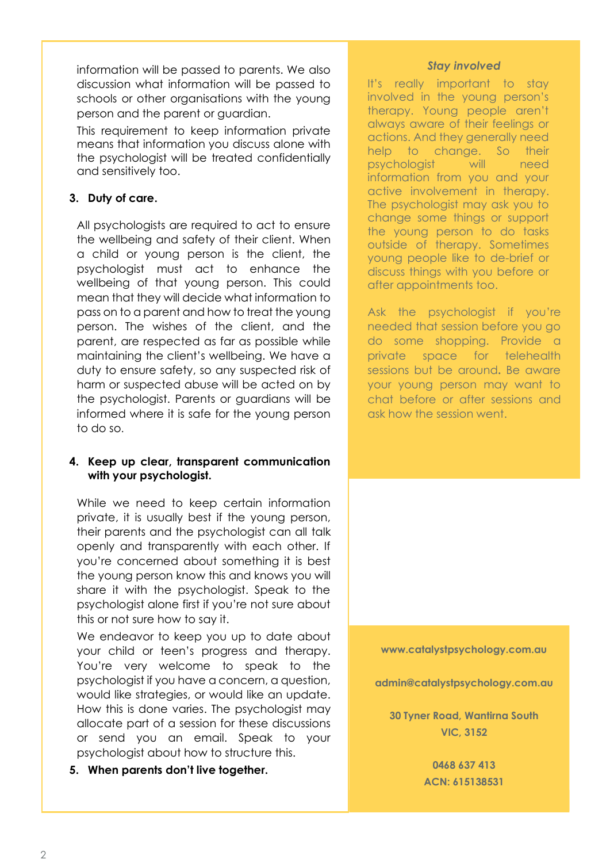information will be passed to parents. We also discussion what information will be passed to schools or other organisations with the young person and the parent or guardian.

This requirement to keep information private means that information you discuss alone with the psychologist will be treated confidentially and sensitively too.

## **3. Duty of care.**

All psychologists are required to act to ensure the wellbeing and safety of their client. When a child or young person is the client, the psychologist must act to enhance the wellbeing of that young person. This could mean that they will decide what information to pass on to a parent and how to treat the young person. The wishes of the client, and the parent, are respected as far as possible while maintaining the client's wellbeing. We have a duty to ensure safety, so any suspected risk of harm or suspected abuse will be acted on by the psychologist. Parents or guardians will be informed where it is safe for the young person to do so.

#### **4. Keep up clear, transparent communication with your psychologist.**

While we need to keep certain information private, it is usually best if the young person, their parents and the psychologist can all talk openly and transparently with each other. If you're concerned about something it is best the young person know this and knows you will share it with the psychologist. Speak to the psychologist alone first if you're not sure about this or not sure how to say it.

We endeavor to keep you up to date about your child or teen's progress and therapy. You're very welcome to speak to the psychologist if you have a concern, a question, would like strategies, or would like an update. How this is done varies. The psychologist may allocate part of a session for these discussions or send you an email. Speak to your psychologist about how to structure this.

### **5. When parents don't live together.**

#### *Stay involved*

It's really important to stay involved in the young person's therapy. Young people aren't always aware of their feelings or actions. And they generally need help to change. So their psychologist will need information from you and your active involvement in therapy. The psychologist may ask you to change some things or support the young person to do tasks outside of therapy. Sometimes young people like to de-brief or discuss things with you before or after appointments too.

Ask the psychologist if you're needed that session before you go do some shopping. Provide a private space for telehealth sessions but be around**.** Be aware your young person may want to chat before or after sessions and ask how the session went.

**www.catalystpsychology.com.au**

**admin@catalystpsychology.com.au**

**30 Tyner Road, Wantirna South VIC, 3152**

> **0468 637 413 ACN: 615138531**